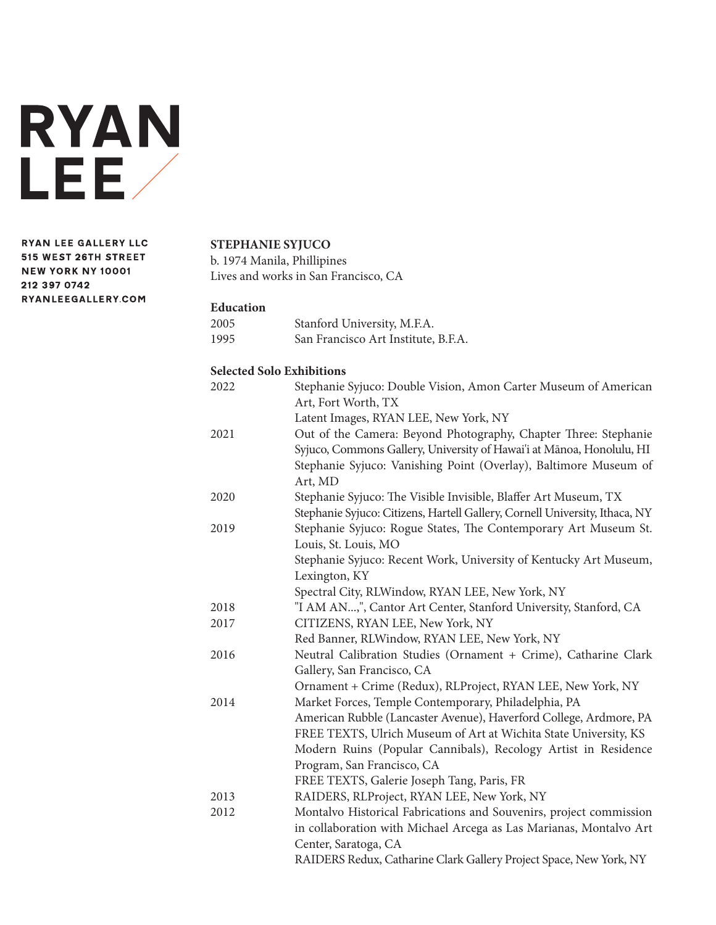

**RYAN LEE GALLERY LLC** 515 WEST 26TH STREET **NEW YORK NY 10001** 212 397 0742 RYANLEEGALLERY.COM

# **STEPHANIE SYJUCO**

b. 1974 Manila, Phillipines Lives and works in San Francisco, CA

#### **Education**

| 2005 | Stanford University, M.F.A.         |
|------|-------------------------------------|
| 1995 | San Francisco Art Institute, B.F.A. |

### **Selected Solo Exhibitions**

| 2022 | Stephanie Syjuco: Double Vision, Amon Carter Museum of American             |
|------|-----------------------------------------------------------------------------|
|      | Art, Fort Worth, TX                                                         |
|      | Latent Images, RYAN LEE, New York, NY                                       |
| 2021 | Out of the Camera: Beyond Photography, Chapter Three: Stephanie             |
|      | Syjuco, Commons Gallery, University of Hawai'i at Mānoa, Honolulu, HI       |
|      | Stephanie Syjuco: Vanishing Point (Overlay), Baltimore Museum of            |
|      | Art, MD                                                                     |
| 2020 | Stephanie Syjuco: The Visible Invisible, Blaffer Art Museum, TX             |
|      | Stephanie Syjuco: Citizens, Hartell Gallery, Cornell University, Ithaca, NY |
| 2019 | Stephanie Syjuco: Rogue States, The Contemporary Art Museum St.             |
|      | Louis, St. Louis, MO                                                        |
|      | Stephanie Syjuco: Recent Work, University of Kentucky Art Museum,           |
|      | Lexington, KY                                                               |
|      | Spectral City, RLWindow, RYAN LEE, New York, NY                             |
| 2018 | "I AM AN,", Cantor Art Center, Stanford University, Stanford, CA            |
| 2017 | CITIZENS, RYAN LEE, New York, NY                                            |
|      | Red Banner, RLWindow, RYAN LEE, New York, NY                                |
| 2016 | Neutral Calibration Studies (Ornament + Crime), Catharine Clark             |
|      | Gallery, San Francisco, CA                                                  |
|      | Ornament + Crime (Redux), RLProject, RYAN LEE, New York, NY                 |
| 2014 | Market Forces, Temple Contemporary, Philadelphia, PA                        |
|      | American Rubble (Lancaster Avenue), Haverford College, Ardmore, PA          |
|      | FREE TEXTS, Ulrich Museum of Art at Wichita State University, KS            |
|      | Modern Ruins (Popular Cannibals), Recology Artist in Residence              |
|      | Program, San Francisco, CA                                                  |
|      | FREE TEXTS, Galerie Joseph Tang, Paris, FR                                  |
| 2013 | RAIDERS, RLProject, RYAN LEE, New York, NY                                  |
| 2012 | Montalvo Historical Fabrications and Souvenirs, project commission          |
|      | in collaboration with Michael Arcega as Las Marianas, Montalvo Art          |
|      | Center, Saratoga, CA                                                        |
|      | RAIDERS Redux, Catharine Clark Gallery Project Space, New York, NY          |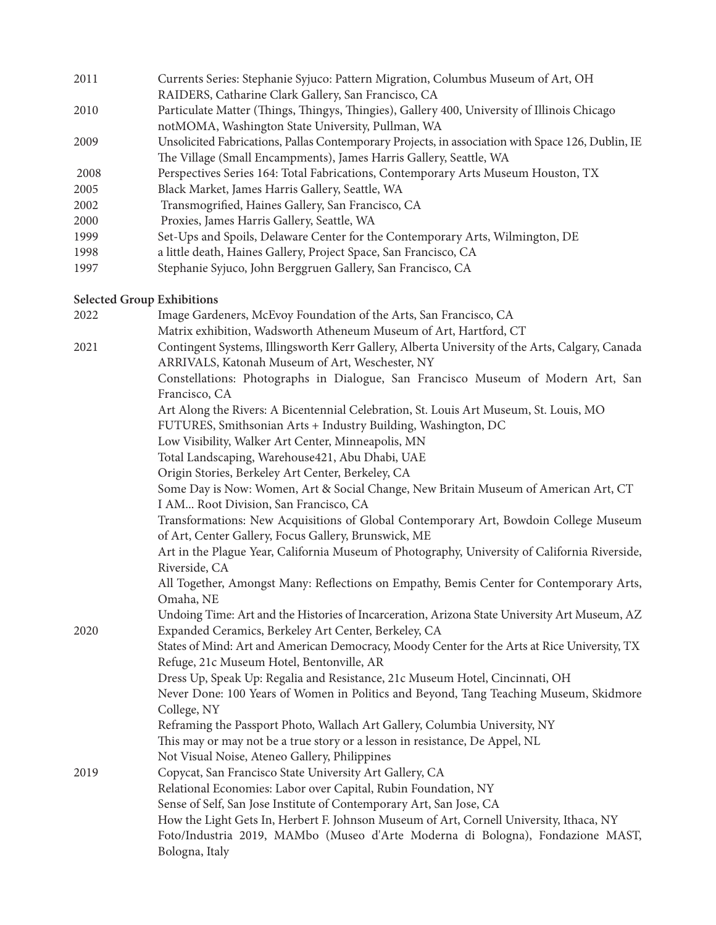2011 Currents Series: Stephanie Syjuco: Pattern Migration, Columbus Museum of Art, OH RAIDERS, Catharine Clark Gallery, San Francisco, CA 2010 Particulate Matter (Things, Thingys, Thingies), Gallery 400, University of Illinois Chicago notMOMA, Washington State University, Pullman, WA 2009 Unsolicited Fabrications, Pallas Contemporary Projects, in association with Space 126, Dublin, IE The Village (Small Encampments), James Harris Gallery, Seattle, WA 2008 Perspectives Series 164: Total Fabrications, Contemporary Arts Museum Houston, TX 2005 Black Market, James Harris Gallery, Seattle, WA 2002 Transmogrified, Haines Gallery, San Francisco, CA 2000 Proxies, James Harris Gallery, Seattle, WA 1999 Set-Ups and Spoils, Delaware Center for the Contemporary Arts, Wilmington, DE 1998 a little death, Haines Gallery, Project Space, San Francisco, CA 1997 Stephanie Syjuco, John Berggruen Gallery, San Francisco, CA

### **Selected Group Exhibitions**

| 2022 | Image Gardeners, McEvoy Foundation of the Arts, San Francisco, CA                              |
|------|------------------------------------------------------------------------------------------------|
|      | Matrix exhibition, Wadsworth Atheneum Museum of Art, Hartford, CT                              |
| 2021 | Contingent Systems, Illingsworth Kerr Gallery, Alberta University of the Arts, Calgary, Canada |
|      | ARRIVALS, Katonah Museum of Art, Weschester, NY                                                |
|      | Constellations: Photographs in Dialogue, San Francisco Museum of Modern Art, San               |
|      | Francisco, CA                                                                                  |
|      | Art Along the Rivers: A Bicentennial Celebration, St. Louis Art Museum, St. Louis, MO          |
|      | FUTURES, Smithsonian Arts + Industry Building, Washington, DC                                  |
|      | Low Visibility, Walker Art Center, Minneapolis, MN                                             |
|      | Total Landscaping, Warehouse421, Abu Dhabi, UAE                                                |
|      | Origin Stories, Berkeley Art Center, Berkeley, CA                                              |
|      | Some Day is Now: Women, Art & Social Change, New Britain Museum of American Art, CT            |
|      | I AM Root Division, San Francisco, CA                                                          |
|      | Transformations: New Acquisitions of Global Contemporary Art, Bowdoin College Museum           |
|      | of Art, Center Gallery, Focus Gallery, Brunswick, ME                                           |
|      | Art in the Plague Year, California Museum of Photography, University of California Riverside,  |
|      | Riverside, CA                                                                                  |
|      | All Together, Amongst Many: Reflections on Empathy, Bemis Center for Contemporary Arts,        |
|      | Omaha, NE                                                                                      |
|      | Undoing Time: Art and the Histories of Incarceration, Arizona State University Art Museum, AZ  |
| 2020 | Expanded Ceramics, Berkeley Art Center, Berkeley, CA                                           |
|      | States of Mind: Art and American Democracy, Moody Center for the Arts at Rice University, TX   |
|      | Refuge, 21c Museum Hotel, Bentonville, AR                                                      |
|      | Dress Up, Speak Up: Regalia and Resistance, 21c Museum Hotel, Cincinnati, OH                   |
|      | Never Done: 100 Years of Women in Politics and Beyond, Tang Teaching Museum, Skidmore          |
|      | College, NY                                                                                    |
|      | Reframing the Passport Photo, Wallach Art Gallery, Columbia University, NY                     |
|      | This may or may not be a true story or a lesson in resistance, De Appel, NL                    |
|      | Not Visual Noise, Ateneo Gallery, Philippines                                                  |
| 2019 | Copycat, San Francisco State University Art Gallery, CA                                        |
|      | Relational Economies: Labor over Capital, Rubin Foundation, NY                                 |
|      | Sense of Self, San Jose Institute of Contemporary Art, San Jose, CA                            |
|      | How the Light Gets In, Herbert F. Johnson Museum of Art, Cornell University, Ithaca, NY        |
|      | Foto/Industria 2019, MAMbo (Museo d'Arte Moderna di Bologna), Fondazione MAST,                 |
|      | Bologna, Italy                                                                                 |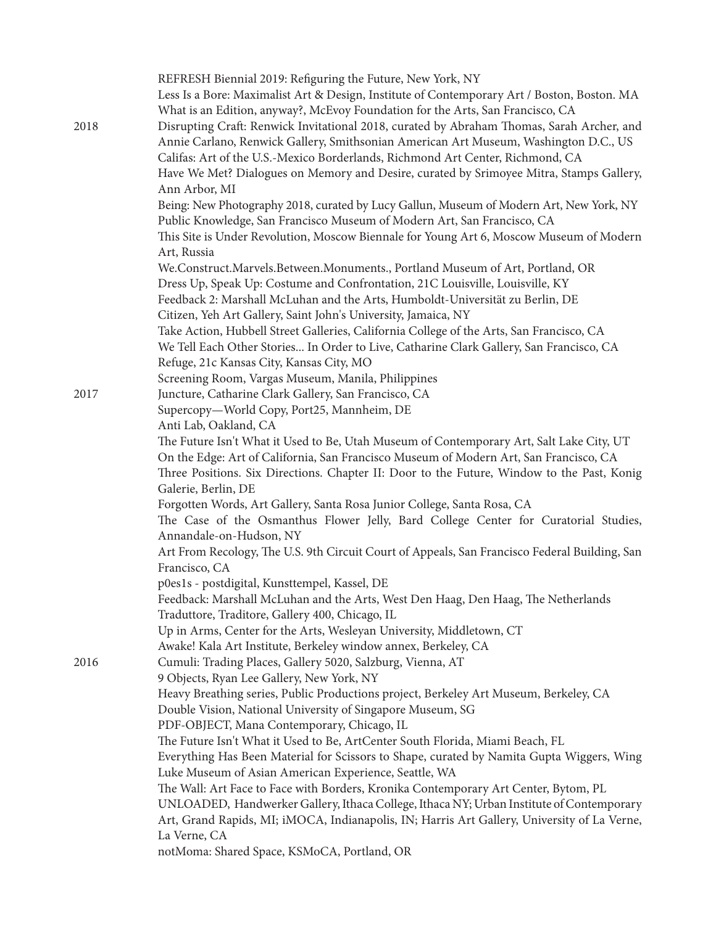| 2018 | REFRESH Biennial 2019: Refiguring the Future, New York, NY<br>Less Is a Bore: Maximalist Art & Design, Institute of Contemporary Art / Boston, Boston. MA<br>What is an Edition, anyway?, McEvoy Foundation for the Arts, San Francisco, CA<br>Disrupting Craft: Renwick Invitational 2018, curated by Abraham Thomas, Sarah Archer, and |
|------|------------------------------------------------------------------------------------------------------------------------------------------------------------------------------------------------------------------------------------------------------------------------------------------------------------------------------------------|
|      | Annie Carlano, Renwick Gallery, Smithsonian American Art Museum, Washington D.C., US<br>Califas: Art of the U.S.-Mexico Borderlands, Richmond Art Center, Richmond, CA<br>Have We Met? Dialogues on Memory and Desire, curated by Srimoyee Mitra, Stamps Gallery,                                                                        |
|      | Ann Arbor, MI                                                                                                                                                                                                                                                                                                                            |
|      | Being: New Photography 2018, curated by Lucy Gallun, Museum of Modern Art, New York, NY                                                                                                                                                                                                                                                  |
|      | Public Knowledge, San Francisco Museum of Modern Art, San Francisco, CA                                                                                                                                                                                                                                                                  |
|      | This Site is Under Revolution, Moscow Biennale for Young Art 6, Moscow Museum of Modern<br>Art, Russia                                                                                                                                                                                                                                   |
|      | We.Construct.Marvels.Between.Monuments., Portland Museum of Art, Portland, OR                                                                                                                                                                                                                                                            |
|      | Dress Up, Speak Up: Costume and Confrontation, 21C Louisville, Louisville, KY                                                                                                                                                                                                                                                            |
|      | Feedback 2: Marshall McLuhan and the Arts, Humboldt-Universität zu Berlin, DE                                                                                                                                                                                                                                                            |
|      | Citizen, Yeh Art Gallery, Saint John's University, Jamaica, NY                                                                                                                                                                                                                                                                           |
|      | Take Action, Hubbell Street Galleries, California College of the Arts, San Francisco, CA                                                                                                                                                                                                                                                 |
|      | We Tell Each Other Stories In Order to Live, Catharine Clark Gallery, San Francisco, CA                                                                                                                                                                                                                                                  |
|      | Refuge, 21c Kansas City, Kansas City, MO<br>Screening Room, Vargas Museum, Manila, Philippines                                                                                                                                                                                                                                           |
| 2017 | Juncture, Catharine Clark Gallery, San Francisco, CA                                                                                                                                                                                                                                                                                     |
|      | Supercopy-World Copy, Port25, Mannheim, DE                                                                                                                                                                                                                                                                                               |
|      | Anti Lab, Oakland, CA                                                                                                                                                                                                                                                                                                                    |
|      | The Future Isn't What it Used to Be, Utah Museum of Contemporary Art, Salt Lake City, UT<br>On the Edge: Art of California, San Francisco Museum of Modern Art, San Francisco, CA                                                                                                                                                        |
|      | Three Positions. Six Directions. Chapter II: Door to the Future, Window to the Past, Konig<br>Galerie, Berlin, DE                                                                                                                                                                                                                        |
|      | Forgotten Words, Art Gallery, Santa Rosa Junior College, Santa Rosa, CA<br>The Case of the Osmanthus Flower Jelly, Bard College Center for Curatorial Studies,                                                                                                                                                                           |
|      | Annandale-on-Hudson, NY                                                                                                                                                                                                                                                                                                                  |
|      | Art From Recology, The U.S. 9th Circuit Court of Appeals, San Francisco Federal Building, San<br>Francisco, CA                                                                                                                                                                                                                           |
|      | p0es1s - postdigital, Kunsttempel, Kassel, DE                                                                                                                                                                                                                                                                                            |
|      | Feedback: Marshall McLuhan and the Arts, West Den Haag, Den Haag, The Netherlands<br>Traduttore, Traditore, Gallery 400, Chicago, IL                                                                                                                                                                                                     |
|      | Up in Arms, Center for the Arts, Wesleyan University, Middletown, CT                                                                                                                                                                                                                                                                     |
|      | Awake! Kala Art Institute, Berkeley window annex, Berkeley, CA                                                                                                                                                                                                                                                                           |
| 2016 | Cumuli: Trading Places, Gallery 5020, Salzburg, Vienna, AT                                                                                                                                                                                                                                                                               |
|      | 9 Objects, Ryan Lee Gallery, New York, NY                                                                                                                                                                                                                                                                                                |
|      | Heavy Breathing series, Public Productions project, Berkeley Art Museum, Berkeley, CA                                                                                                                                                                                                                                                    |
|      | Double Vision, National University of Singapore Museum, SG                                                                                                                                                                                                                                                                               |
|      | PDF-OBJECT, Mana Contemporary, Chicago, IL<br>The Future Isn't What it Used to Be, ArtCenter South Florida, Miami Beach, FL                                                                                                                                                                                                              |
|      | Everything Has Been Material for Scissors to Shape, curated by Namita Gupta Wiggers, Wing                                                                                                                                                                                                                                                |
|      | Luke Museum of Asian American Experience, Seattle, WA                                                                                                                                                                                                                                                                                    |
|      | The Wall: Art Face to Face with Borders, Kronika Contemporary Art Center, Bytom, PL                                                                                                                                                                                                                                                      |
|      | UNLOADED, Handwerker Gallery, Ithaca College, Ithaca NY; Urban Institute of Contemporary<br>Art, Grand Rapids, MI; iMOCA, Indianapolis, IN; Harris Art Gallery, University of La Verne,                                                                                                                                                  |
|      | La Verne, CA                                                                                                                                                                                                                                                                                                                             |
|      | notMoma: Shared Space, KSMoCA, Portland, OR                                                                                                                                                                                                                                                                                              |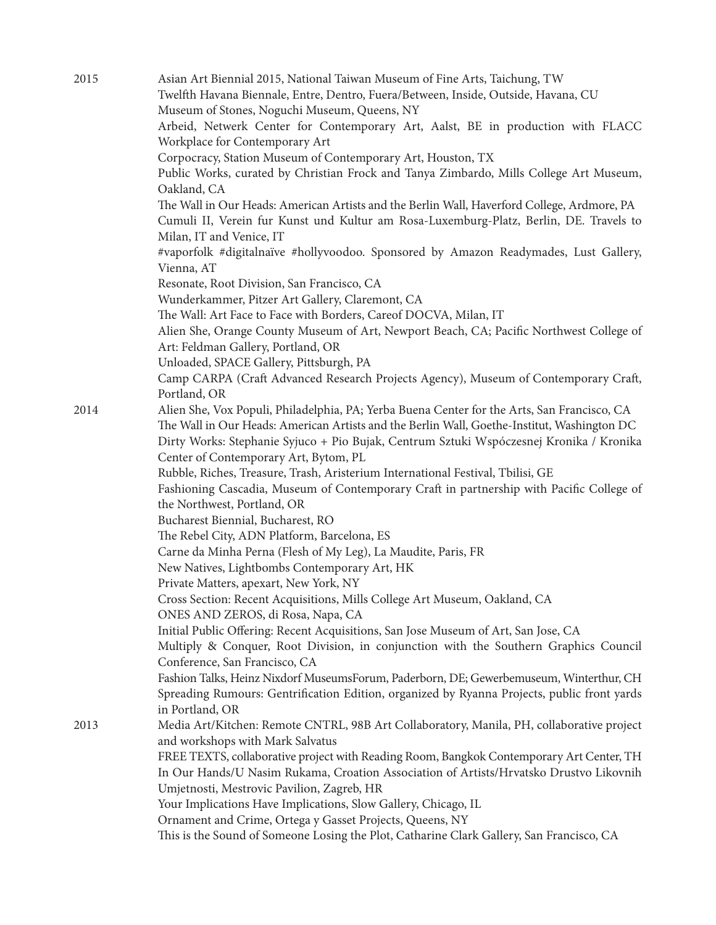| 2015 | Asian Art Biennial 2015, National Taiwan Museum of Fine Arts, Taichung, TW                                               |
|------|--------------------------------------------------------------------------------------------------------------------------|
|      | Twelfth Havana Biennale, Entre, Dentro, Fuera/Between, Inside, Outside, Havana, CU                                       |
|      | Museum of Stones, Noguchi Museum, Queens, NY                                                                             |
|      | Arbeid, Netwerk Center for Contemporary Art, Aalst, BE in production with FLACC                                          |
|      | Workplace for Contemporary Art                                                                                           |
|      | Corpocracy, Station Museum of Contemporary Art, Houston, TX                                                              |
|      | Public Works, curated by Christian Frock and Tanya Zimbardo, Mills College Art Museum,                                   |
|      | Oakland, CA                                                                                                              |
|      | The Wall in Our Heads: American Artists and the Berlin Wall, Haverford College, Ardmore, PA                              |
|      | Cumuli II, Verein fur Kunst und Kultur am Rosa-Luxemburg-Platz, Berlin, DE. Travels to                                   |
|      | Milan, IT and Venice, IT                                                                                                 |
|      | #vaporfolk #digitalnaïve #hollyvoodoo. Sponsored by Amazon Readymades, Lust Gallery,                                     |
|      | Vienna, AT                                                                                                               |
|      | Resonate, Root Division, San Francisco, CA                                                                               |
|      | Wunderkammer, Pitzer Art Gallery, Claremont, CA                                                                          |
|      | The Wall: Art Face to Face with Borders, Careof DOCVA, Milan, IT                                                         |
|      | Alien She, Orange County Museum of Art, Newport Beach, CA; Pacific Northwest College of                                  |
|      | Art: Feldman Gallery, Portland, OR                                                                                       |
|      | Unloaded, SPACE Gallery, Pittsburgh, PA                                                                                  |
|      | Camp CARPA (Craft Advanced Research Projects Agency), Museum of Contemporary Craft,                                      |
|      | Portland, OR                                                                                                             |
| 2014 | Alien She, Vox Populi, Philadelphia, PA; Yerba Buena Center for the Arts, San Francisco, CA                              |
|      | The Wall in Our Heads: American Artists and the Berlin Wall, Goethe-Institut, Washington DC                              |
|      | Dirty Works: Stephanie Syjuco + Pio Bujak, Centrum Sztuki Wspóczesnej Kronika / Kronika                                  |
|      | Center of Contemporary Art, Bytom, PL<br>Rubble, Riches, Treasure, Trash, Aristerium International Festival, Tbilisi, GE |
|      | Fashioning Cascadia, Museum of Contemporary Craft in partnership with Pacific College of                                 |
|      | the Northwest, Portland, OR                                                                                              |
|      | Bucharest Biennial, Bucharest, RO                                                                                        |
|      | The Rebel City, ADN Platform, Barcelona, ES                                                                              |
|      | Carne da Minha Perna (Flesh of My Leg), La Maudite, Paris, FR                                                            |
|      | New Natives, Lightbombs Contemporary Art, HK                                                                             |
|      | Private Matters, apexart, New York, NY                                                                                   |
|      | Cross Section: Recent Acquisitions, Mills College Art Museum, Oakland, CA                                                |
|      | ONES AND ZEROS, di Rosa, Napa, CA                                                                                        |
|      | Initial Public Offering: Recent Acquisitions, San Jose Museum of Art, San Jose, CA                                       |
|      | Multiply & Conquer, Root Division, in conjunction with the Southern Graphics Council                                     |
|      | Conference, San Francisco, CA                                                                                            |
|      | Fashion Talks, Heinz Nixdorf MuseumsForum, Paderborn, DE; Gewerbemuseum, Winterthur, CH                                  |
|      | Spreading Rumours: Gentrification Edition, organized by Ryanna Projects, public front yards                              |
|      | in Portland, OR                                                                                                          |
| 2013 | Media Art/Kitchen: Remote CNTRL, 98B Art Collaboratory, Manila, PH, collaborative project                                |
|      | and workshops with Mark Salvatus                                                                                         |
|      | FREE TEXTS, collaborative project with Reading Room, Bangkok Contemporary Art Center, TH                                 |
|      | In Our Hands/U Nasim Rukama, Croation Association of Artists/Hrvatsko Drustvo Likovnih                                   |
|      | Umjetnosti, Mestrovic Pavilion, Zagreb, HR                                                                               |
|      | Your Implications Have Implications, Slow Gallery, Chicago, IL                                                           |
|      | Ornament and Crime, Ortega y Gasset Projects, Queens, NY                                                                 |
|      | This is the Sound of Someone Losing the Plot, Catharine Clark Gallery, San Francisco, CA                                 |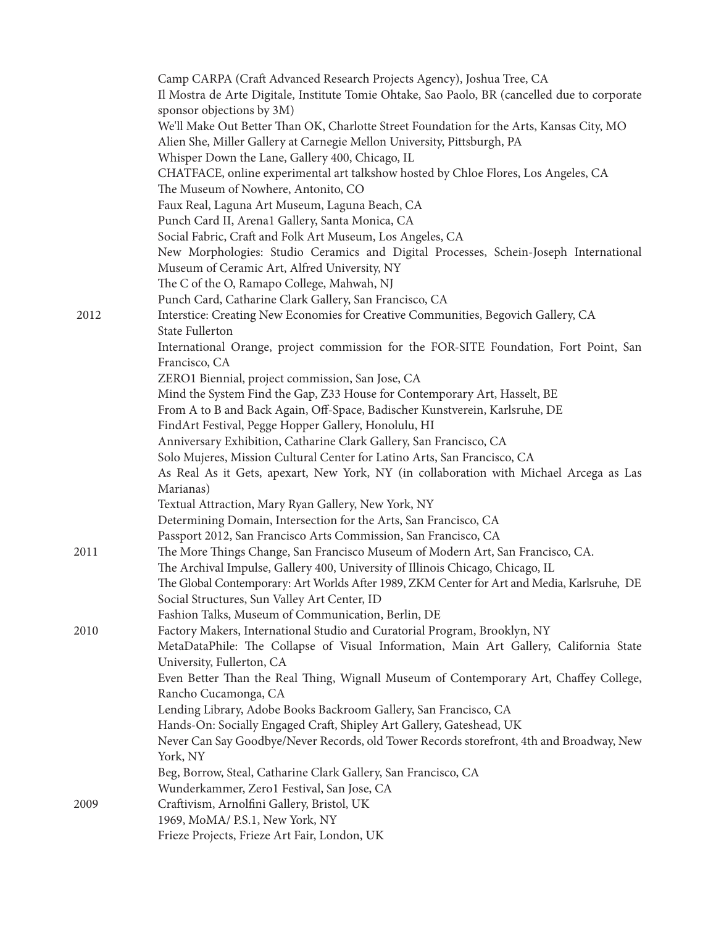|      | Camp CARPA (Craft Advanced Research Projects Agency), Joshua Tree, CA                                |
|------|------------------------------------------------------------------------------------------------------|
|      | Il Mostra de Arte Digitale, Institute Tomie Ohtake, Sao Paolo, BR (cancelled due to corporate        |
|      | sponsor objections by 3M)                                                                            |
|      | We'll Make Out Better Than OK, Charlotte Street Foundation for the Arts, Kansas City, MO             |
|      |                                                                                                      |
|      | Alien She, Miller Gallery at Carnegie Mellon University, Pittsburgh, PA                              |
|      | Whisper Down the Lane, Gallery 400, Chicago, IL                                                      |
|      | CHATFACE, online experimental art talkshow hosted by Chloe Flores, Los Angeles, CA                   |
|      | The Museum of Nowhere, Antonito, CO                                                                  |
|      | Faux Real, Laguna Art Museum, Laguna Beach, CA                                                       |
|      | Punch Card II, Arena1 Gallery, Santa Monica, CA                                                      |
|      | Social Fabric, Craft and Folk Art Museum, Los Angeles, CA                                            |
|      | New Morphologies: Studio Ceramics and Digital Processes, Schein-Joseph International                 |
|      | Museum of Ceramic Art, Alfred University, NY                                                         |
|      | The C of the O, Ramapo College, Mahwah, NJ                                                           |
|      |                                                                                                      |
|      | Punch Card, Catharine Clark Gallery, San Francisco, CA                                               |
| 2012 | Interstice: Creating New Economies for Creative Communities, Begovich Gallery, CA<br>State Fullerton |
|      | International Orange, project commission for the FOR-SITE Foundation, Fort Point, San                |
|      | Francisco, CA                                                                                        |
|      | ZERO1 Biennial, project commission, San Jose, CA                                                     |
|      | Mind the System Find the Gap, Z33 House for Contemporary Art, Hasselt, BE                            |
|      | From A to B and Back Again, Off-Space, Badischer Kunstverein, Karlsruhe, DE                          |
|      | FindArt Festival, Pegge Hopper Gallery, Honolulu, HI                                                 |
|      | Anniversary Exhibition, Catharine Clark Gallery, San Francisco, CA                                   |
|      | Solo Mujeres, Mission Cultural Center for Latino Arts, San Francisco, CA                             |
|      | As Real As it Gets, apexart, New York, NY (in collaboration with Michael Arcega as Las               |
|      | Marianas)                                                                                            |
|      | Textual Attraction, Mary Ryan Gallery, New York, NY                                                  |
|      | Determining Domain, Intersection for the Arts, San Francisco, CA                                     |
|      | Passport 2012, San Francisco Arts Commission, San Francisco, CA                                      |
| 2011 | The More Things Change, San Francisco Museum of Modern Art, San Francisco, CA.                       |
|      | The Archival Impulse, Gallery 400, University of Illinois Chicago, Chicago, IL                       |
|      | The Global Contemporary: Art Worlds After 1989, ZKM Center for Art and Media, Karlsruhe, DE          |
|      |                                                                                                      |
|      | Social Structures, Sun Valley Art Center, ID                                                         |
|      | Fashion Talks, Museum of Communication, Berlin, DE                                                   |
| 2010 | Factory Makers, International Studio and Curatorial Program, Brooklyn, NY                            |
|      | MetaDataPhile: The Collapse of Visual Information, Main Art Gallery, California State                |
|      | University, Fullerton, CA                                                                            |
|      | Even Better Than the Real Thing, Wignall Museum of Contemporary Art, Chaffey College,                |
|      | Rancho Cucamonga, CA                                                                                 |
|      | Lending Library, Adobe Books Backroom Gallery, San Francisco, CA                                     |
|      | Hands-On: Socially Engaged Craft, Shipley Art Gallery, Gateshead, UK                                 |
|      | Never Can Say Goodbye/Never Records, old Tower Records storefront, 4th and Broadway, New<br>York, NY |
|      | Beg, Borrow, Steal, Catharine Clark Gallery, San Francisco, CA                                       |
|      | Wunderkammer, Zero1 Festival, San Jose, CA                                                           |
| 2009 | Craftivism, Arnolfini Gallery, Bristol, UK                                                           |
|      |                                                                                                      |
|      | 1969, MoMA/ P.S.1, New York, NY                                                                      |
|      | Frieze Projects, Frieze Art Fair, London, UK                                                         |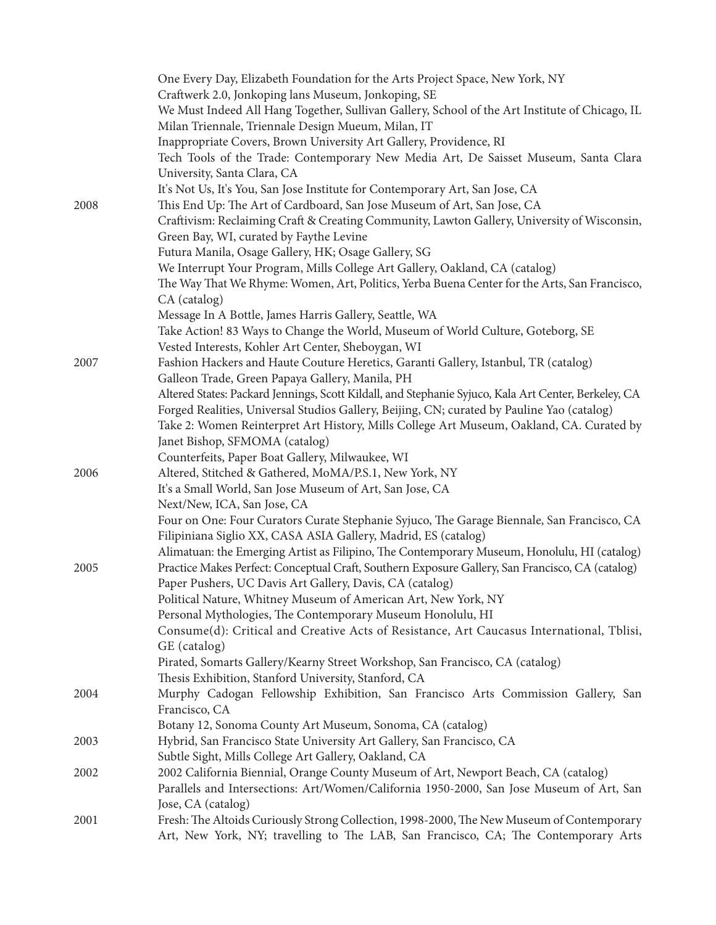|      | One Every Day, Elizabeth Foundation for the Arts Project Space, New York, NY                                    |
|------|-----------------------------------------------------------------------------------------------------------------|
|      | Craftwerk 2.0, Jonkoping lans Museum, Jonkoping, SE                                                             |
|      | We Must Indeed All Hang Together, Sullivan Gallery, School of the Art Institute of Chicago, IL                  |
|      | Milan Triennale, Triennale Design Mueum, Milan, IT                                                              |
|      | Inappropriate Covers, Brown University Art Gallery, Providence, RI                                              |
|      | Tech Tools of the Trade: Contemporary New Media Art, De Saisset Museum, Santa Clara                             |
|      | University, Santa Clara, CA                                                                                     |
|      | It's Not Us, It's You, San Jose Institute for Contemporary Art, San Jose, CA                                    |
| 2008 | This End Up: The Art of Cardboard, San Jose Museum of Art, San Jose, CA                                         |
|      | Craftivism: Reclaiming Craft & Creating Community, Lawton Gallery, University of Wisconsin,                     |
|      | Green Bay, WI, curated by Faythe Levine                                                                         |
|      | Futura Manila, Osage Gallery, HK; Osage Gallery, SG                                                             |
|      | We Interrupt Your Program, Mills College Art Gallery, Oakland, CA (catalog)                                     |
|      | The Way That We Rhyme: Women, Art, Politics, Yerba Buena Center for the Arts, San Francisco,                    |
|      | CA (catalog)                                                                                                    |
|      | Message In A Bottle, James Harris Gallery, Seattle, WA                                                          |
|      | Take Action! 83 Ways to Change the World, Museum of World Culture, Goteborg, SE                                 |
|      | Vested Interests, Kohler Art Center, Sheboygan, WI                                                              |
| 2007 | Fashion Hackers and Haute Couture Heretics, Garanti Gallery, Istanbul, TR (catalog)                             |
|      | Galleon Trade, Green Papaya Gallery, Manila, PH                                                                 |
|      | Altered States: Packard Jennings, Scott Kildall, and Stephanie Syjuco, Kala Art Center, Berkeley, CA            |
|      | Forged Realities, Universal Studios Gallery, Beijing, CN; curated by Pauline Yao (catalog)                      |
|      | Take 2: Women Reinterpret Art History, Mills College Art Museum, Oakland, CA. Curated by                        |
|      | Janet Bishop, SFMOMA (catalog)                                                                                  |
|      | Counterfeits, Paper Boat Gallery, Milwaukee, WI                                                                 |
| 2006 | Altered, Stitched & Gathered, MoMA/P.S.1, New York, NY                                                          |
|      | It's a Small World, San Jose Museum of Art, San Jose, CA                                                        |
|      | Next/New, ICA, San Jose, CA                                                                                     |
|      | Four on One: Four Curators Curate Stephanie Syjuco, The Garage Biennale, San Francisco, CA                      |
|      | Filipiniana Siglio XX, CASA ASIA Gallery, Madrid, ES (catalog)                                                  |
|      | Alimatuan: the Emerging Artist as Filipino, The Contemporary Museum, Honolulu, HI (catalog)                     |
| 2005 | Practice Makes Perfect: Conceptual Craft, Southern Exposure Gallery, San Francisco, CA (catalog)                |
|      | Paper Pushers, UC Davis Art Gallery, Davis, CA (catalog)                                                        |
|      | Political Nature, Whitney Museum of American Art, New York, NY                                                  |
|      | Personal Mythologies, The Contemporary Museum Honolulu, HI                                                      |
|      | Consume(d): Critical and Creative Acts of Resistance, Art Caucasus International, Tblisi,                       |
|      | GE (catalog)                                                                                                    |
|      | Pirated, Somarts Gallery/Kearny Street Workshop, San Francisco, CA (catalog)                                    |
|      | Thesis Exhibition, Stanford University, Stanford, CA                                                            |
| 2004 | Murphy Cadogan Fellowship Exhibition, San Francisco Arts Commission Gallery, San                                |
|      | Francisco, CA                                                                                                   |
|      | Botany 12, Sonoma County Art Museum, Sonoma, CA (catalog)                                                       |
| 2003 | Hybrid, San Francisco State University Art Gallery, San Francisco, CA                                           |
|      | Subtle Sight, Mills College Art Gallery, Oakland, CA                                                            |
| 2002 | 2002 California Biennial, Orange County Museum of Art, Newport Beach, CA (catalog)                              |
|      | Parallels and Intersections: Art/Women/California 1950-2000, San Jose Museum of Art, San                        |
| 2001 | Jose, CA (catalog)<br>Fresh: The Altoids Curiously Strong Collection, 1998-2000, The New Museum of Contemporary |
|      | Art, New York, NY; travelling to The LAB, San Francisco, CA; The Contemporary Arts                              |
|      |                                                                                                                 |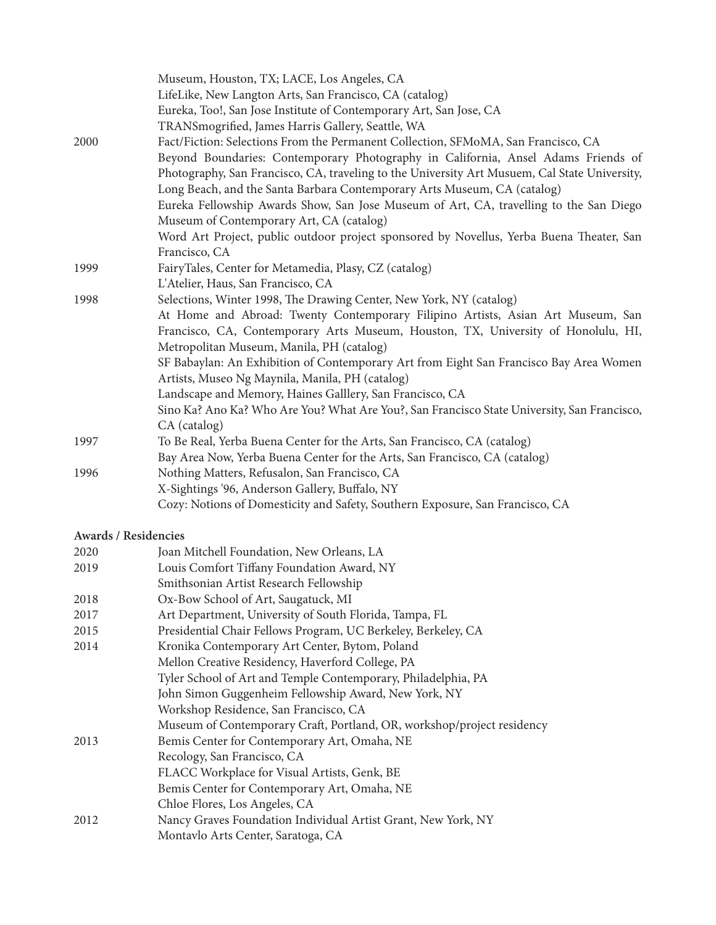|                      | Museum, Houston, TX; LACE, Los Angeles, CA<br>LifeLike, New Langton Arts, San Francisco, CA (catalog)<br>Eureka, Too!, San Jose Institute of Contemporary Art, San Jose, CA                                                                                                                                                                                                                              |
|----------------------|----------------------------------------------------------------------------------------------------------------------------------------------------------------------------------------------------------------------------------------------------------------------------------------------------------------------------------------------------------------------------------------------------------|
| 2000                 | TRANSmogrified, James Harris Gallery, Seattle, WA<br>Fact/Fiction: Selections From the Permanent Collection, SFMoMA, San Francisco, CA<br>Beyond Boundaries: Contemporary Photography in California, Ansel Adams Friends of<br>Photography, San Francisco, CA, traveling to the University Art Musuem, Cal State University,<br>Long Beach, and the Santa Barbara Contemporary Arts Museum, CA (catalog) |
|                      | Eureka Fellowship Awards Show, San Jose Museum of Art, CA, travelling to the San Diego<br>Museum of Contemporary Art, CA (catalog)<br>Word Art Project, public outdoor project sponsored by Novellus, Yerba Buena Theater, San                                                                                                                                                                           |
| 1999                 | Francisco, CA<br>FairyTales, Center for Metamedia, Plasy, CZ (catalog)<br>L'Atelier, Haus, San Francisco, CA                                                                                                                                                                                                                                                                                             |
| 1998                 | Selections, Winter 1998, The Drawing Center, New York, NY (catalog)<br>At Home and Abroad: Twenty Contemporary Filipino Artists, Asian Art Museum, San<br>Francisco, CA, Contemporary Arts Museum, Houston, TX, University of Honolulu, HI,                                                                                                                                                              |
|                      | Metropolitan Museum, Manila, PH (catalog)<br>SF Babaylan: An Exhibition of Contemporary Art from Eight San Francisco Bay Area Women<br>Artists, Museo Ng Maynila, Manila, PH (catalog)                                                                                                                                                                                                                   |
|                      | Landscape and Memory, Haines Galllery, San Francisco, CA<br>Sino Ka? Ano Ka? Who Are You? What Are You?, San Francisco State University, San Francisco,<br>CA (catalog)                                                                                                                                                                                                                                  |
| 1997                 | To Be Real, Yerba Buena Center for the Arts, San Francisco, CA (catalog)<br>Bay Area Now, Yerba Buena Center for the Arts, San Francisco, CA (catalog)                                                                                                                                                                                                                                                   |
| 1996                 | Nothing Matters, Refusalon, San Francisco, CA<br>X-Sightings '96, Anderson Gallery, Buffalo, NY                                                                                                                                                                                                                                                                                                          |
|                      | Cozy: Notions of Domesticity and Safety, Southern Exposure, San Francisco, CA                                                                                                                                                                                                                                                                                                                            |
| Awards / Residencies |                                                                                                                                                                                                                                                                                                                                                                                                          |
| 2020                 | Joan Mitchell Foundation, New Orleans, LA                                                                                                                                                                                                                                                                                                                                                                |
| 2019                 | Louis Comfort Tiffany Foundation Award, NY<br>Smithsonian Artist Research Fellowship                                                                                                                                                                                                                                                                                                                     |
| 2018                 | Ox-Bow School of Art, Saugatuck, MI                                                                                                                                                                                                                                                                                                                                                                      |
| 2017                 | Art Department, University of South Florida, Tampa, FL                                                                                                                                                                                                                                                                                                                                                   |
| 2015                 | Presidential Chair Fellows Program, UC Berkeley, Berkeley, CA                                                                                                                                                                                                                                                                                                                                            |
| 2014                 | Kronika Contemporary Art Center, Bytom, Poland<br>Mellon Creative Residency, Haverford College, PA<br>Tyler School of Art and Temple Contemporary, Philadelphia, PA                                                                                                                                                                                                                                      |
|                      | John Simon Guggenheim Fellowship Award, New York, NY<br>Workshop Residence, San Francisco, CA<br>Museum of Contemporary Craft, Portland, OR, workshop/project residency                                                                                                                                                                                                                                  |
| 2013                 | Bemis Center for Contemporary Art, Omaha, NE<br>Recology, San Francisco, CA                                                                                                                                                                                                                                                                                                                              |
|                      | FLACC Workplace for Visual Artists, Genk, BE<br>Bemis Center for Contemporary Art, Omaha, NE                                                                                                                                                                                                                                                                                                             |

- Chloe Flores, Los Angeles, CA
- 2012 Nancy Graves Foundation Individual Artist Grant, New York, NY Montavlo Arts Center, Saratoga, CA